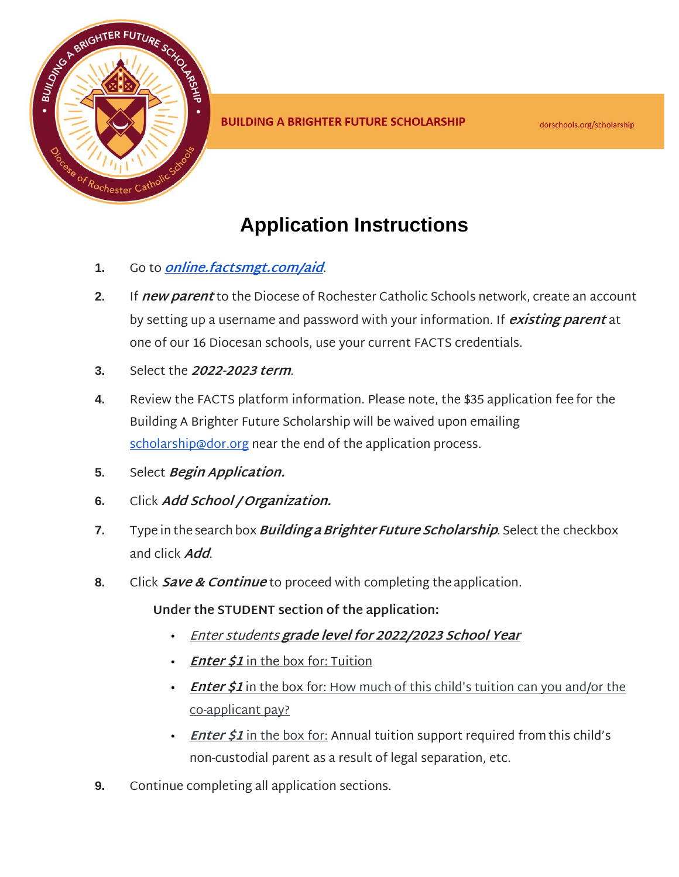

## **Application Instructions**

- **1.** Go to **[online.factsmgt.com/aid](http://online.factsmgt.com/aid)**.
- **2.** If **new parent** to the Diocese of Rochester Catholic Schools network, create an account by setting up a username and password with your information. If **existing parent** at one of our 16 Diocesan schools, use your current FACTS credentials.
- **3.** Select the **2022-2023 term**.
- **4.** Review the FACTS platform information. Please note, the \$35 application fee for the Building A Brighter Future Scholarship will be waived upon emailing [scholarship@dor.org](mailto:scholarship@dor.org) near the end of the application process.
- **5.** Select **Begin Application.**
- **6.** Click **Add School / Organization.**
- **7.** Type in the search box**Building aBrighter Future Scholarship**. Select the checkbox and click **Add**.
- **8.** Click **Save & Continue** to proceed with completing the application.
	- **Under the STUDENT section of the application:**
		- Enter students **grade level for 2022/2023 School Year**
		- **Enter \$1** in the box for: Tuition
		- **Enter \$1** in the box for: How much of this child's tuition can you and/or the co-applicant pay?
		- *Enter \$1* in the box for: Annual tuition support required from this child's non-custodial parent as a result of legal separation, etc.
- **9.** Continue completing all application sections.